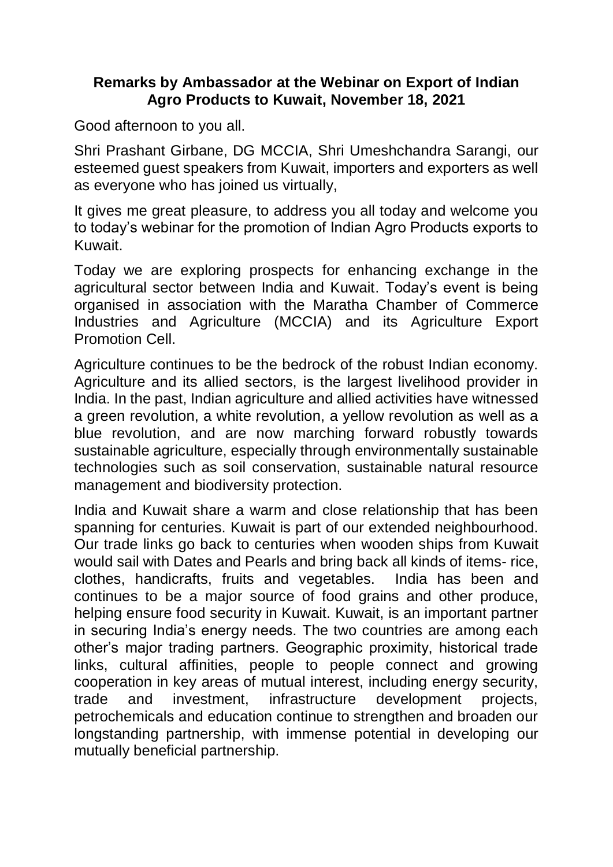## **Remarks by Ambassador at the Webinar on Export of Indian Agro Products to Kuwait, November 18, 2021**

Good afternoon to you all.

Shri Prashant Girbane, DG MCCIA, Shri Umeshchandra Sarangi, our esteemed guest speakers from Kuwait, importers and exporters as well as everyone who has joined us virtually,

It gives me great pleasure, to address you all today and welcome you to today's webinar for the promotion of Indian Agro Products exports to Kuwait.

Today we are exploring prospects for enhancing exchange in the agricultural sector between India and Kuwait. Today's event is being organised in association with the Maratha Chamber of Commerce Industries and Agriculture (MCCIA) and its Agriculture Export Promotion Cell.

Agriculture continues to be the bedrock of the robust Indian economy. Agriculture and its allied sectors, is the largest livelihood provider in India. In the past, Indian agriculture and allied activities have witnessed a green revolution, a white revolution, a yellow revolution as well as a blue revolution, and are now marching forward robustly towards sustainable agriculture, especially through environmentally sustainable technologies such as soil conservation, sustainable natural resource management and biodiversity protection.

India and Kuwait share a warm and close relationship that has been spanning for centuries. Kuwait is part of our extended neighbourhood. Our trade links go back to centuries when wooden ships from Kuwait would sail with Dates and Pearls and bring back all kinds of items- rice, clothes, handicrafts, fruits and vegetables. India has been and continues to be a major source of food grains and other produce, helping ensure food security in Kuwait. Kuwait, is an important partner in securing India's energy needs. The two countries are among each other's major trading partners. Geographic proximity, historical trade links, cultural affinities, people to people connect and growing cooperation in key areas of mutual interest, including energy security, trade and investment, infrastructure development projects, petrochemicals and education continue to strengthen and broaden our longstanding partnership, with immense potential in developing our mutually beneficial partnership.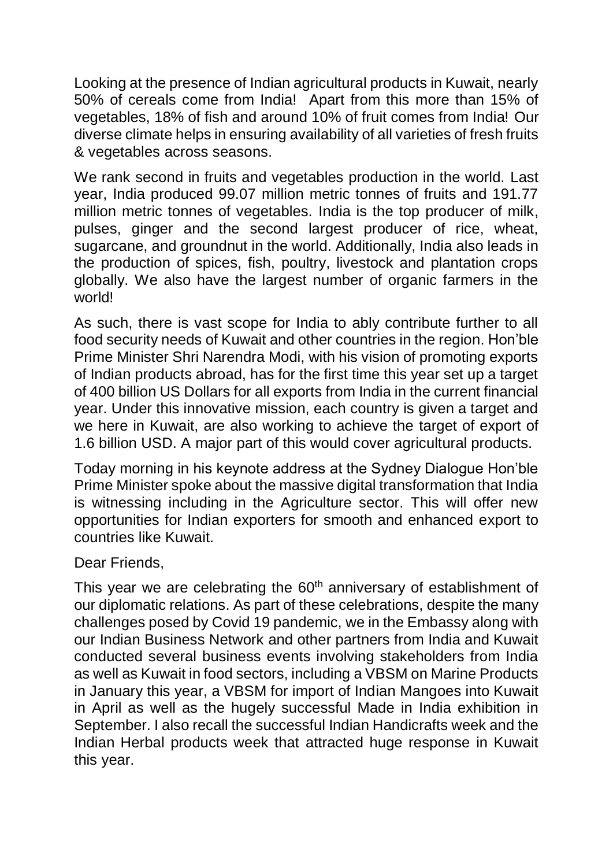Looking at the presence of Indian agricultural products in Kuwait, nearly 50% of cereals come from India! Apart from this more than 15% of vegetables, 18% of fish and around 10% of fruit comes from India! Our diverse climate helps in ensuring availability of all varieties of fresh fruits & vegetables across seasons.

We rank second in fruits and vegetables production in the world. Last year, India produced 99.07 million metric tonnes of fruits and 191.77 million metric tonnes of vegetables. India is the top producer of milk, pulses, ginger and the second largest producer of rice, wheat, sugarcane, and groundnut in the world. Additionally, India also leads in the production of spices, fish, poultry, livestock and plantation crops globally. We also have the largest number of organic farmers in the world!

As such, there is vast scope for India to ably contribute further to all food security needs of Kuwait and other countries in the region. Hon'ble Prime Minister Shri Narendra Modi, with his vision of promoting exports of Indian products abroad, has for the first time this year set up a target of 400 billion US Dollars for all exports from India in the current financial year. Under this innovative mission, each country is given a target and we here in Kuwait, are also working to achieve the target of export of 1.6 billion USD. A major part of this would cover agricultural products.

Today morning in his keynote address at the Sydney Dialogue Hon'ble Prime Minister spoke about the massive digital transformation that India is witnessing including in the Agriculture sector. This will offer new opportunities for Indian exporters for smooth and enhanced export to countries like Kuwait.

Dear Friends,

This year we are celebrating the  $60<sup>th</sup>$  anniversary of establishment of our diplomatic relations. As part of these celebrations, despite the many challenges posed by Covid 19 pandemic, we in the Embassy along with our Indian Business Network and other partners from India and Kuwait conducted several business events involving stakeholders from India as well as Kuwait in food sectors, including a VBSM on Marine Products in January this year, a VBSM for import of Indian Mangoes into Kuwait in April as well as the hugely successful Made in India exhibition in September. I also recall the successful Indian Handicrafts week and the Indian Herbal products week that attracted huge response in Kuwait this year.